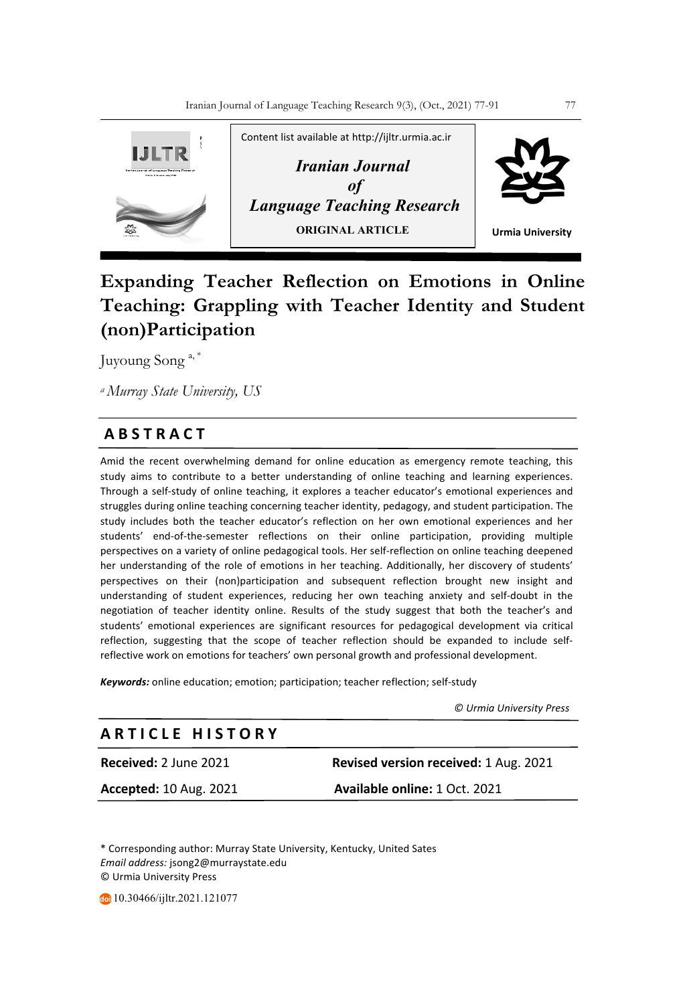

# **Expanding Teacher Reflection on Emotions in Online Teaching: Grappling with Teacher Identity and Student (non)Participation**

Juyoung Song a, \*

*a Murray State University, US*

# **A B S T R A C T**

Amid the recent overwhelming demand for online education as emergency remote teaching, this study aims to contribute to a better understanding of online teaching and learning experiences. Through a self-study of online teaching, it explores a teacher educator's emotional experiences and struggles during online teaching concerning teacher identity, pedagogy, and student participation. The study includes both the teacher educator's reflection on her own emotional experiences and her students' end-of-the-semester reflections on their online participation, providing multiple perspectives on a variety of online pedagogical tools. Her self-reflection on online teaching deepened her understanding of the role of emotions in her teaching. Additionally, her discovery of students' perspectives on their (non)participation and subsequent reflection brought new insight and understanding of student experiences, reducing her own teaching anxiety and self-doubt in the negotiation of teacher identity online. Results of the study suggest that both the teacher's and students' emotional experiences are significant resources for pedagogical development via critical reflection, suggesting that the scope of teacher reflection should be expanded to include selfreflective work on emotions for teachers' own personal growth and professional development.

*Keywords:* online education; emotion; participation; teacher reflection; self-study

 *© Urmia University Press*

# **A R T I C L E H I S T O R Y**

**Received:** 2 June 2021 **Revised version received:** 1 Aug. 2021 **Accepted:** 10 Aug. 2021 **Available online:** 1 Oct. 2021

\* Corresponding author: Murray State University, Kentucky, United Sates *Email address:* jsong2@murraystate.edu © Urmia University Press

10.30466/ijltr.2021.121077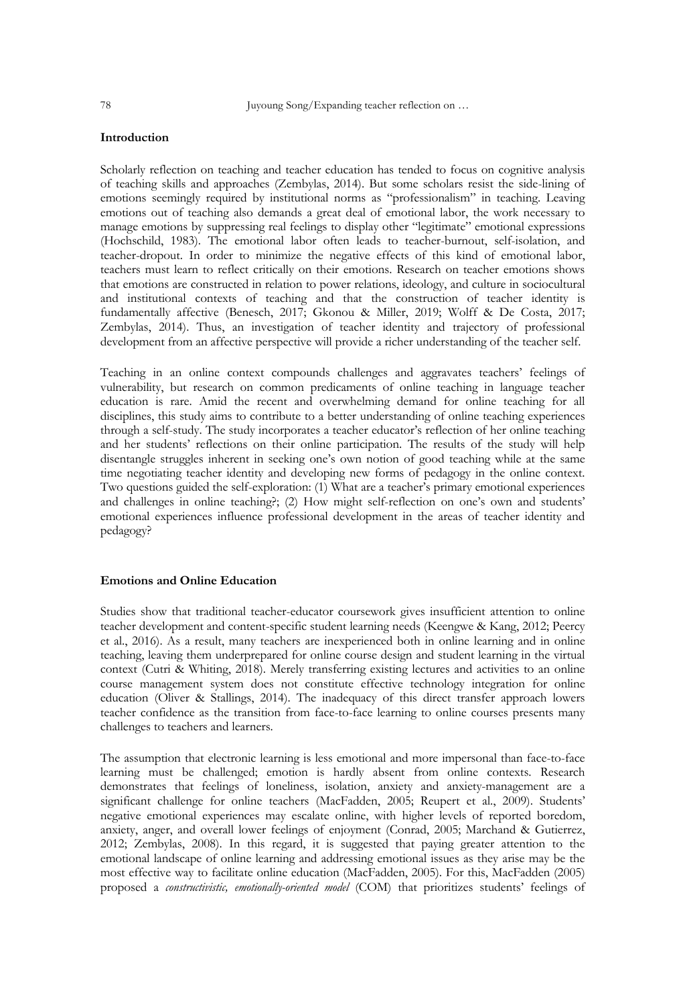# **Introduction**

Scholarly reflection on teaching and teacher education has tended to focus on cognitive analysis of teaching skills and approaches (Zembylas, 2014). But some scholars resist the side-lining of emotions seemingly required by institutional norms as "professionalism" in teaching. Leaving emotions out of teaching also demands a great deal of emotional labor, the work necessary to manage emotions by suppressing real feelings to display other "legitimate" emotional expressions (Hochschild, 1983). The emotional labor often leads to teacher-burnout, self-isolation, and teacher-dropout. In order to minimize the negative effects of this kind of emotional labor, teachers must learn to reflect critically on their emotions. Research on teacher emotions shows that emotions are constructed in relation to power relations, ideology, and culture in sociocultural and institutional contexts of teaching and that the construction of teacher identity is fundamentally affective (Benesch, 2017; Gkonou & Miller, 2019; Wolff & De Costa, 2017; Zembylas, 2014). Thus, an investigation of teacher identity and trajectory of professional development from an affective perspective will provide a richer understanding of the teacher self.

Teaching in an online context compounds challenges and aggravates teachers' feelings of vulnerability, but research on common predicaments of online teaching in language teacher education is rare. Amid the recent and overwhelming demand for online teaching for all disciplines, this study aims to contribute to a better understanding of online teaching experiences through a self-study. The study incorporates a teacher educator's reflection of her online teaching and her students' reflections on their online participation. The results of the study will help disentangle struggles inherent in seeking one's own notion of good teaching while at the same time negotiating teacher identity and developing new forms of pedagogy in the online context. Two questions guided the self-exploration: (1) What are a teacher's primary emotional experiences and challenges in online teaching?; (2) How might self-reflection on one's own and students' emotional experiences influence professional development in the areas of teacher identity and pedagogy?

### **Emotions and Online Education**

Studies show that traditional teacher-educator coursework gives insufficient attention to online teacher development and content-specific student learning needs (Keengwe & Kang, 2012; Peercy et al., 2016). As a result, many teachers are inexperienced both in online learning and in online teaching, leaving them underprepared for online course design and student learning in the virtual context (Cutri & Whiting, 2018). Merely transferring existing lectures and activities to an online course management system does not constitute effective technology integration for online education (Oliver & Stallings, 2014). The inadequacy of this direct transfer approach lowers teacher confidence as the transition from face-to-face learning to online courses presents many challenges to teachers and learners.

The assumption that electronic learning is less emotional and more impersonal than face-to-face learning must be challenged; emotion is hardly absent from online contexts. Research demonstrates that feelings of loneliness, isolation, anxiety and anxiety-management are a significant challenge for online teachers (MacFadden, 2005; Reupert et al., 2009). Students' negative emotional experiences may escalate online, with higher levels of reported boredom, anxiety, anger, and overall lower feelings of enjoyment (Conrad, 2005; Marchand & Gutierrez, 2012; Zembylas, 2008). In this regard, it is suggested that paying greater attention to the emotional landscape of online learning and addressing emotional issues as they arise may be the most effective way to facilitate online education (MacFadden, 2005). For this, MacFadden (2005) proposed a *constructivistic, emotionally-oriented model* (COM) that prioritizes students' feelings of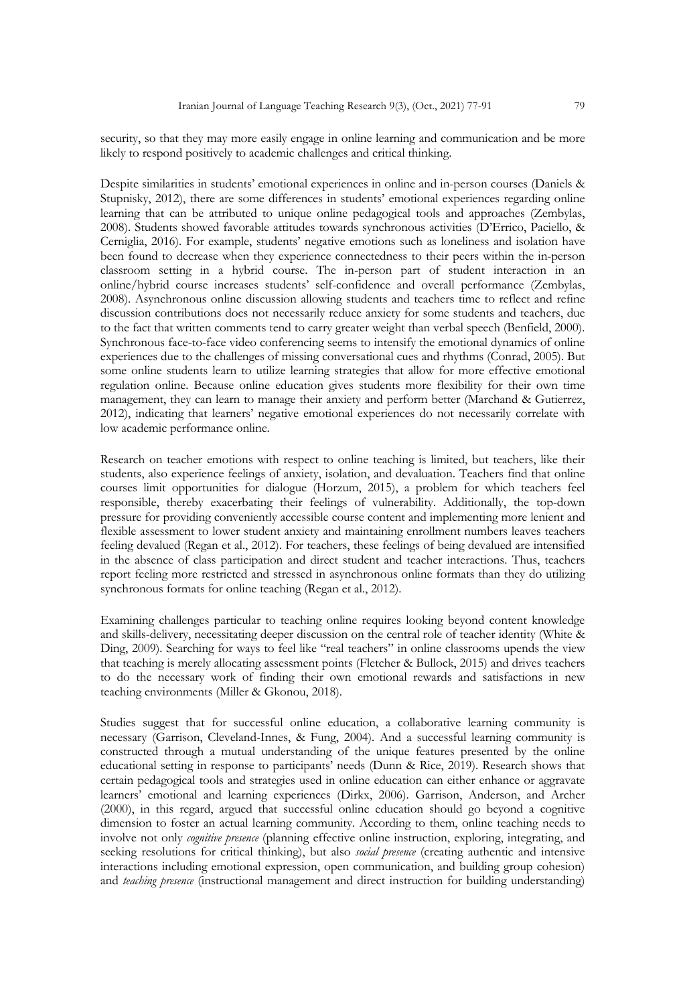security, so that they may more easily engage in online learning and communication and be more likely to respond positively to academic challenges and critical thinking.

Despite similarities in students' emotional experiences in online and in-person courses (Daniels & Stupnisky, 2012), there are some differences in students' emotional experiences regarding online learning that can be attributed to unique online pedagogical tools and approaches (Zembylas, 2008). Students showed favorable attitudes towards synchronous activities (D'Errico, Paciello, & Cerniglia, 2016). For example, students' negative emotions such as loneliness and isolation have been found to decrease when they experience connectedness to their peers within the in-person classroom setting in a hybrid course. The in-person part of student interaction in an online/hybrid course increases students' self-confidence and overall performance (Zembylas, 2008). Asynchronous online discussion allowing students and teachers time to reflect and refine discussion contributions does not necessarily reduce anxiety for some students and teachers, due to the fact that written comments tend to carry greater weight than verbal speech (Benfield, 2000). Synchronous face-to-face video conferencing seems to intensify the emotional dynamics of online experiences due to the challenges of missing conversational cues and rhythms (Conrad, 2005). But some online students learn to utilize learning strategies that allow for more effective emotional regulation online. Because online education gives students more flexibility for their own time management, they can learn to manage their anxiety and perform better (Marchand & Gutierrez, 2012), indicating that learners' negative emotional experiences do not necessarily correlate with low academic performance online.

Research on teacher emotions with respect to online teaching is limited, but teachers, like their students, also experience feelings of anxiety, isolation, and devaluation. Teachers find that online courses limit opportunities for dialogue (Horzum, 2015), a problem for which teachers feel responsible, thereby exacerbating their feelings of vulnerability. Additionally, the top-down pressure for providing conveniently accessible course content and implementing more lenient and flexible assessment to lower student anxiety and maintaining enrollment numbers leaves teachers feeling devalued (Regan et al., 2012). For teachers, these feelings of being devalued are intensified in the absence of class participation and direct student and teacher interactions. Thus, teachers report feeling more restricted and stressed in asynchronous online formats than they do utilizing synchronous formats for online teaching (Regan et al., 2012).

Examining challenges particular to teaching online requires looking beyond content knowledge and skills-delivery, necessitating deeper discussion on the central role of teacher identity (White & Ding, 2009). Searching for ways to feel like "real teachers" in online classrooms upends the view that teaching is merely allocating assessment points (Fletcher & Bullock, 2015) and drives teachers to do the necessary work of finding their own emotional rewards and satisfactions in new teaching environments (Miller & Gkonou, 2018).

Studies suggest that for successful online education, a collaborative learning community is necessary (Garrison, Cleveland-Innes, & Fung, 2004). And a successful learning community is constructed through a mutual understanding of the unique features presented by the online educational setting in response to participants' needs (Dunn & Rice, 2019). Research shows that certain pedagogical tools and strategies used in online education can either enhance or aggravate learners' emotional and learning experiences (Dirkx, 2006). Garrison, Anderson, and Archer (2000), in this regard, argued that successful online education should go beyond a cognitive dimension to foster an actual learning community. According to them, online teaching needs to involve not only *cognitive presence* (planning effective online instruction, exploring, integrating, and seeking resolutions for critical thinking), but also *social presence* (creating authentic and intensive interactions including emotional expression, open communication, and building group cohesion) and *teaching presence* (instructional management and direct instruction for building understanding)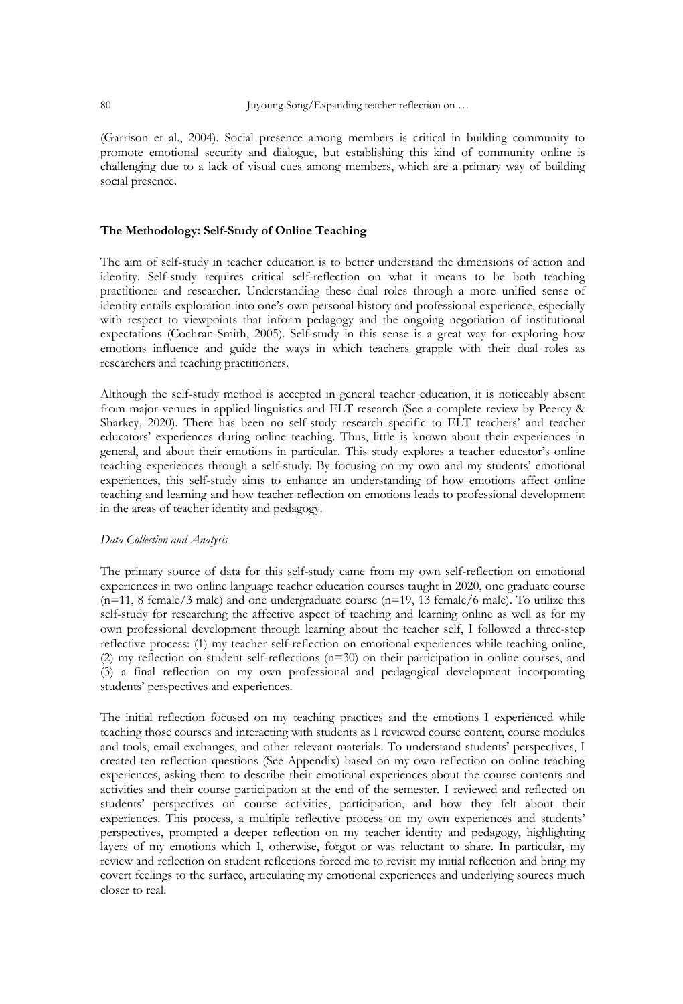(Garrison et al., 2004). Social presence among members is critical in building community to promote emotional security and dialogue, but establishing this kind of community online is challenging due to a lack of visual cues among members, which are a primary way of building social presence.

# **The Methodology: Self-Study of Online Teaching**

The aim of self-study in teacher education is to better understand the dimensions of action and identity. Self-study requires critical self-reflection on what it means to be both teaching practitioner and researcher. Understanding these dual roles through a more unified sense of identity entails exploration into one's own personal history and professional experience, especially with respect to viewpoints that inform pedagogy and the ongoing negotiation of institutional expectations (Cochran-Smith, 2005). Self-study in this sense is a great way for exploring how emotions influence and guide the ways in which teachers grapple with their dual roles as researchers and teaching practitioners.

Although the self-study method is accepted in general teacher education, it is noticeably absent from major venues in applied linguistics and ELT research (See a complete review by Peercy & Sharkey, 2020). There has been no self-study research specific to ELT teachers' and teacher educators' experiences during online teaching. Thus, little is known about their experiences in general, and about their emotions in particular. This study explores a teacher educator's online teaching experiences through a self-study. By focusing on my own and my students' emotional experiences, this self-study aims to enhance an understanding of how emotions affect online teaching and learning and how teacher reflection on emotions leads to professional development in the areas of teacher identity and pedagogy.

#### *Data Collection and Analysis*

The primary source of data for this self-study came from my own self-reflection on emotional experiences in two online language teacher education courses taught in 2020, one graduate course  $(n=11, 8 \text{ female}/3 \text{ male})$  and one undergraduate course  $(n=19, 13 \text{ female}/6 \text{ male})$ . To utilize this self-study for researching the affective aspect of teaching and learning online as well as for my own professional development through learning about the teacher self, I followed a three-step reflective process: (1) my teacher self-reflection on emotional experiences while teaching online, (2) my reflection on student self-reflections (n=30) on their participation in online courses, and (3) a final reflection on my own professional and pedagogical development incorporating students' perspectives and experiences.

The initial reflection focused on my teaching practices and the emotions I experienced while teaching those courses and interacting with students as I reviewed course content, course modules and tools, email exchanges, and other relevant materials. To understand students' perspectives, I created ten reflection questions (See Appendix) based on my own reflection on online teaching experiences, asking them to describe their emotional experiences about the course contents and activities and their course participation at the end of the semester. I reviewed and reflected on students' perspectives on course activities, participation, and how they felt about their experiences. This process, a multiple reflective process on my own experiences and students' perspectives, prompted a deeper reflection on my teacher identity and pedagogy, highlighting layers of my emotions which I, otherwise, forgot or was reluctant to share. In particular, my review and reflection on student reflections forced me to revisit my initial reflection and bring my covert feelings to the surface, articulating my emotional experiences and underlying sources much closer to real.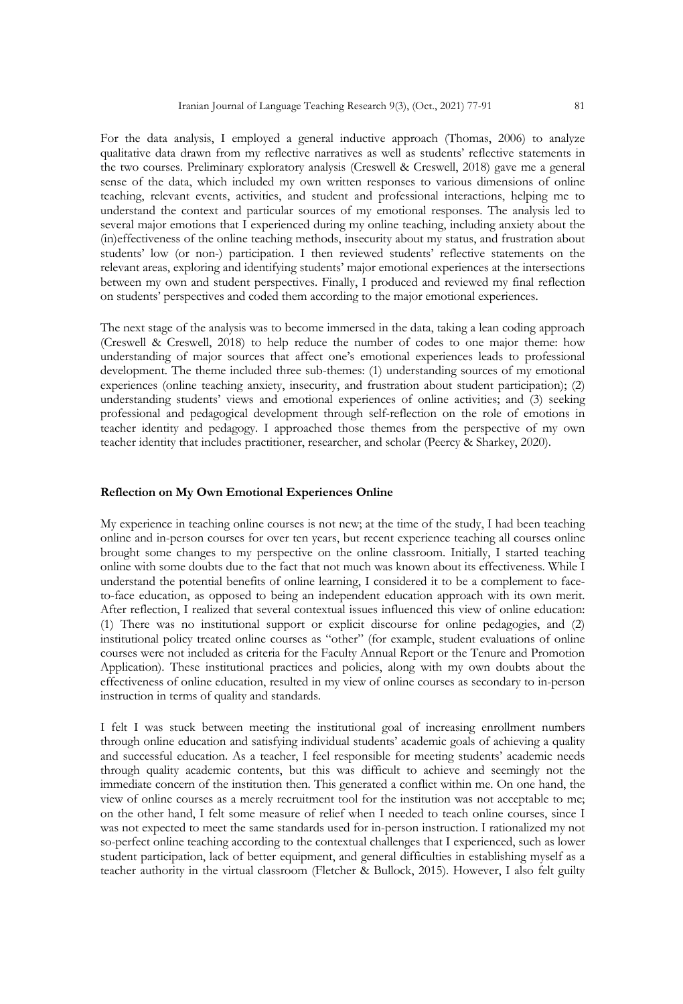For the data analysis, I employed a general inductive approach (Thomas, 2006) to analyze qualitative data drawn from my reflective narratives as well as students' reflective statements in the two courses. Preliminary exploratory analysis (Creswell & Creswell, 2018) gave me a general sense of the data, which included my own written responses to various dimensions of online teaching, relevant events, activities, and student and professional interactions, helping me to understand the context and particular sources of my emotional responses. The analysis led to several major emotions that I experienced during my online teaching, including anxiety about the (in)effectiveness of the online teaching methods, insecurity about my status, and frustration about students' low (or non-) participation. I then reviewed students' reflective statements on the relevant areas, exploring and identifying students' major emotional experiences at the intersections between my own and student perspectives. Finally, I produced and reviewed my final reflection on students' perspectives and coded them according to the major emotional experiences.

The next stage of the analysis was to become immersed in the data, taking a lean coding approach (Creswell & Creswell, 2018) to help reduce the number of codes to one major theme: how understanding of major sources that affect one's emotional experiences leads to professional development. The theme included three sub-themes: (1) understanding sources of my emotional experiences (online teaching anxiety, insecurity, and frustration about student participation); (2) understanding students' views and emotional experiences of online activities; and (3) seeking professional and pedagogical development through self-reflection on the role of emotions in teacher identity and pedagogy. I approached those themes from the perspective of my own teacher identity that includes practitioner, researcher, and scholar (Peercy & Sharkey, 2020).

# **Reflection on My Own Emotional Experiences Online**

My experience in teaching online courses is not new; at the time of the study, I had been teaching online and in-person courses for over ten years, but recent experience teaching all courses online brought some changes to my perspective on the online classroom. Initially, I started teaching online with some doubts due to the fact that not much was known about its effectiveness. While I understand the potential benefits of online learning, I considered it to be a complement to faceto-face education, as opposed to being an independent education approach with its own merit. After reflection, I realized that several contextual issues influenced this view of online education: (1) There was no institutional support or explicit discourse for online pedagogies, and (2) institutional policy treated online courses as "other" (for example, student evaluations of online courses were not included as criteria for the Faculty Annual Report or the Tenure and Promotion Application). These institutional practices and policies, along with my own doubts about the effectiveness of online education, resulted in my view of online courses as secondary to in-person instruction in terms of quality and standards.

I felt I was stuck between meeting the institutional goal of increasing enrollment numbers through online education and satisfying individual students' academic goals of achieving a quality and successful education. As a teacher, I feel responsible for meeting students' academic needs through quality academic contents, but this was difficult to achieve and seemingly not the immediate concern of the institution then. This generated a conflict within me. On one hand, the view of online courses as a merely recruitment tool for the institution was not acceptable to me; on the other hand, I felt some measure of relief when I needed to teach online courses, since I was not expected to meet the same standards used for in-person instruction. I rationalized my not so-perfect online teaching according to the contextual challenges that I experienced, such as lower student participation, lack of better equipment, and general difficulties in establishing myself as a teacher authority in the virtual classroom (Fletcher & Bullock, 2015). However, I also felt guilty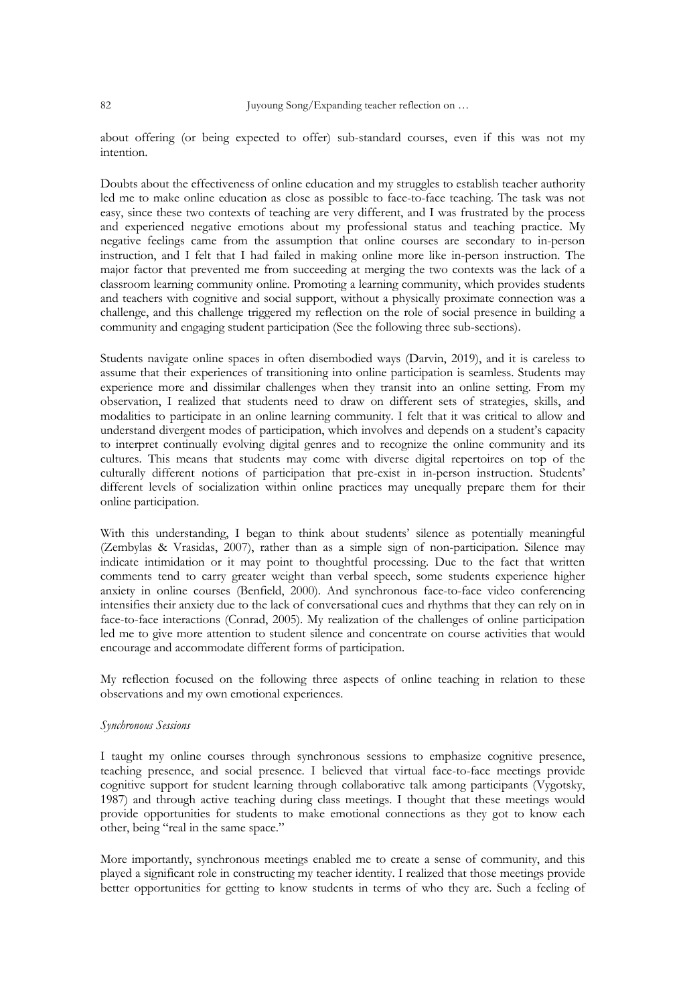about offering (or being expected to offer) sub-standard courses, even if this was not my intention.

Doubts about the effectiveness of online education and my struggles to establish teacher authority led me to make online education as close as possible to face-to-face teaching. The task was not easy, since these two contexts of teaching are very different, and I was frustrated by the process and experienced negative emotions about my professional status and teaching practice. My negative feelings came from the assumption that online courses are secondary to in-person instruction, and I felt that I had failed in making online more like in-person instruction. The major factor that prevented me from succeeding at merging the two contexts was the lack of a classroom learning community online. Promoting a learning community, which provides students and teachers with cognitive and social support, without a physically proximate connection was a challenge, and this challenge triggered my reflection on the role of social presence in building a community and engaging student participation (See the following three sub-sections).

Students navigate online spaces in often disembodied ways (Darvin, 2019), and it is careless to assume that their experiences of transitioning into online participation is seamless. Students may experience more and dissimilar challenges when they transit into an online setting. From my observation, I realized that students need to draw on different sets of strategies, skills, and modalities to participate in an online learning community. I felt that it was critical to allow and understand divergent modes of participation, which involves and depends on a student's capacity to interpret continually evolving digital genres and to recognize the online community and its cultures. This means that students may come with diverse digital repertoires on top of the culturally different notions of participation that pre-exist in in-person instruction. Students' different levels of socialization within online practices may unequally prepare them for their online participation.

With this understanding, I began to think about students' silence as potentially meaningful (Zembylas & Vrasidas, 2007), rather than as a simple sign of non-participation. Silence may indicate intimidation or it may point to thoughtful processing. Due to the fact that written comments tend to carry greater weight than verbal speech, some students experience higher anxiety in online courses (Benfield, 2000). And synchronous face-to-face video conferencing intensifies their anxiety due to the lack of conversational cues and rhythms that they can rely on in face-to-face interactions (Conrad, 2005). My realization of the challenges of online participation led me to give more attention to student silence and concentrate on course activities that would encourage and accommodate different forms of participation.

My reflection focused on the following three aspects of online teaching in relation to these observations and my own emotional experiences.

#### *Synchronous Sessions*

I taught my online courses through synchronous sessions to emphasize cognitive presence, teaching presence, and social presence. I believed that virtual face-to-face meetings provide cognitive support for student learning through collaborative talk among participants (Vygotsky, 1987) and through active teaching during class meetings. I thought that these meetings would provide opportunities for students to make emotional connections as they got to know each other, being "real in the same space."

More importantly, synchronous meetings enabled me to create a sense of community, and this played a significant role in constructing my teacher identity. I realized that those meetings provide better opportunities for getting to know students in terms of who they are. Such a feeling of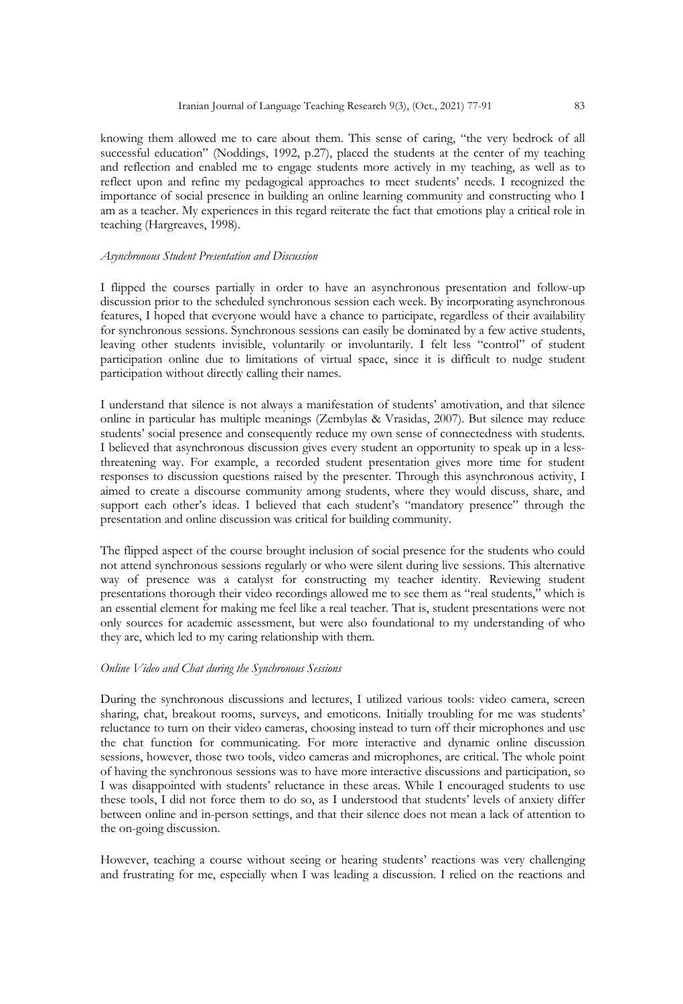knowing them allowed me to care about them. This sense of caring, "the very bedrock of all successful education" (Noddings, 1992, p.27), placed the students at the center of my teaching and reflection and enabled me to engage students more actively in my teaching, as well as to reflect upon and refine my pedagogical approaches to meet students' needs. I recognized the importance of social presence in building an online learning community and constructing who I am as a teacher. My experiences in this regard reiterate the fact that emotions play a critical role in teaching (Hargreaves, 1998).

# *Asynchronous Student Presentation and Discussion*

I flipped the courses partially in order to have an asynchronous presentation and follow-up discussion prior to the scheduled synchronous session each week. By incorporating asynchronous features, I hoped that everyone would have a chance to participate, regardless of their availability for synchronous sessions. Synchronous sessions can easily be dominated by a few active students, leaving other students invisible, voluntarily or involuntarily. I felt less "control" of student participation online due to limitations of virtual space, since it is difficult to nudge student participation without directly calling their names.

I understand that silence is not always a manifestation of students' amotivation, and that silence online in particular has multiple meanings (Zembylas & Vrasidas, 2007). But silence may reduce students' social presence and consequently reduce my own sense of connectedness with students. I believed that asynchronous discussion gives every student an opportunity to speak up in a lessthreatening way. For example, a recorded student presentation gives more time for student responses to discussion questions raised by the presenter. Through this asynchronous activity, I aimed to create a discourse community among students, where they would discuss, share, and support each other's ideas. I believed that each student's "mandatory presence" through the presentation and online discussion was critical for building community.

The flipped aspect of the course brought inclusion of social presence for the students who could not attend synchronous sessions regularly or who were silent during live sessions. This alternative way of presence was a catalyst for constructing my teacher identity. Reviewing student presentations thorough their video recordings allowed me to see them as "real students," which is an essential element for making me feel like a real teacher. That is, student presentations were not only sources for academic assessment, but were also foundational to my understanding of who they are, which led to my caring relationship with them.

# *Online Video and Chat during the Synchronous Sessions*

During the synchronous discussions and lectures, I utilized various tools: video camera, screen sharing, chat, breakout rooms, surveys, and emoticons. Initially troubling for me was students' reluctance to turn on their video cameras, choosing instead to turn off their microphones and use the chat function for communicating. For more interactive and dynamic online discussion sessions, however, those two tools, video cameras and microphones, are critical. The whole point of having the synchronous sessions was to have more interactive discussions and participation, so I was disappointed with students' reluctance in these areas. While I encouraged students to use these tools, I did not force them to do so, as I understood that students' levels of anxiety differ between online and in-person settings, and that their silence does not mean a lack of attention to the on-going discussion.

However, teaching a course without seeing or hearing students' reactions was very challenging and frustrating for me, especially when I was leading a discussion. I relied on the reactions and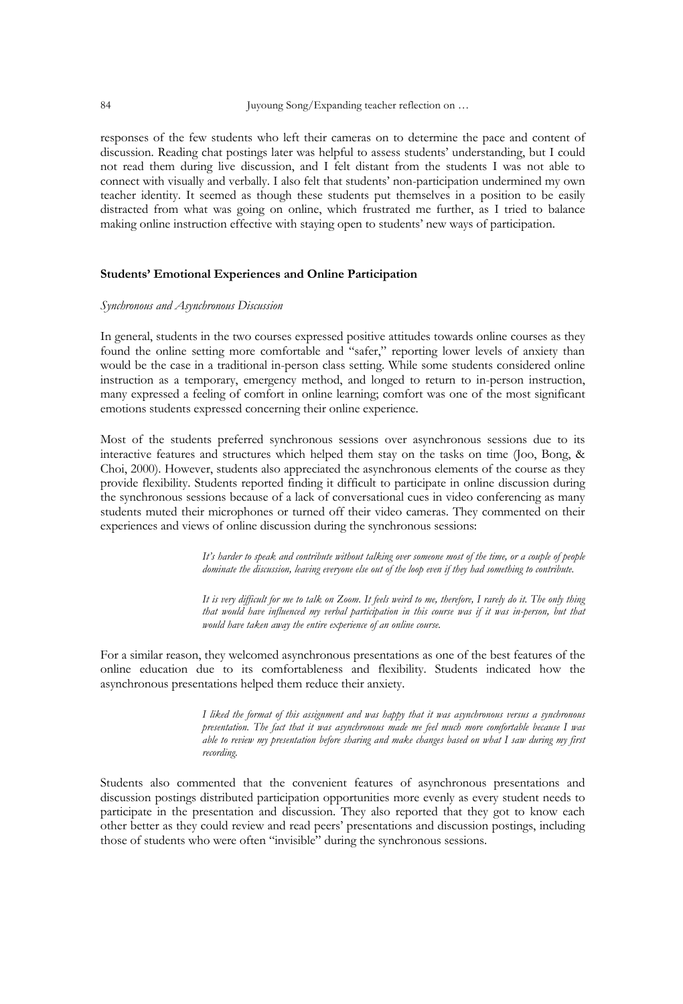responses of the few students who left their cameras on to determine the pace and content of discussion. Reading chat postings later was helpful to assess students' understanding, but I could not read them during live discussion, and I felt distant from the students I was not able to connect with visually and verbally. I also felt that students' non-participation undermined my own teacher identity. It seemed as though these students put themselves in a position to be easily distracted from what was going on online, which frustrated me further, as I tried to balance making online instruction effective with staying open to students' new ways of participation.

# **Students' Emotional Experiences and Online Participation**

#### *Synchronous and Asynchronous Discussion*

In general, students in the two courses expressed positive attitudes towards online courses as they found the online setting more comfortable and "safer," reporting lower levels of anxiety than would be the case in a traditional in-person class setting. While some students considered online instruction as a temporary, emergency method, and longed to return to in-person instruction, many expressed a feeling of comfort in online learning; comfort was one of the most significant emotions students expressed concerning their online experience.

Most of the students preferred synchronous sessions over asynchronous sessions due to its interactive features and structures which helped them stay on the tasks on time (Joo, Bong, & Choi, 2000). However, students also appreciated the asynchronous elements of the course as they provide flexibility. Students reported finding it difficult to participate in online discussion during the synchronous sessions because of a lack of conversational cues in video conferencing as many students muted their microphones or turned off their video cameras. They commented on their experiences and views of online discussion during the synchronous sessions:

> *It's harder to speak and contribute without talking over someone most of the time, or a couple of people dominate the discussion, leaving everyone else out of the loop even if they had something to contribute.*

> *It is very difficult for me to talk on Zoom. It feels weird to me, therefore, I rarely do it. The only thing that would have influenced my verbal participation in this course was if it was in-person, but that would have taken away the entire experience of an online course.*

For a similar reason, they welcomed asynchronous presentations as one of the best features of the online education due to its comfortableness and flexibility. Students indicated how the asynchronous presentations helped them reduce their anxiety.

> *I liked the format of this assignment and was happy that it was asynchronous versus a synchronous presentation. The fact that it was asynchronous made me feel much more comfortable because I was able to review my presentation before sharing and make changes based on what I saw during my first recording.*

Students also commented that the convenient features of asynchronous presentations and discussion postings distributed participation opportunities more evenly as every student needs to participate in the presentation and discussion. They also reported that they got to know each other better as they could review and read peers' presentations and discussion postings, including those of students who were often "invisible" during the synchronous sessions.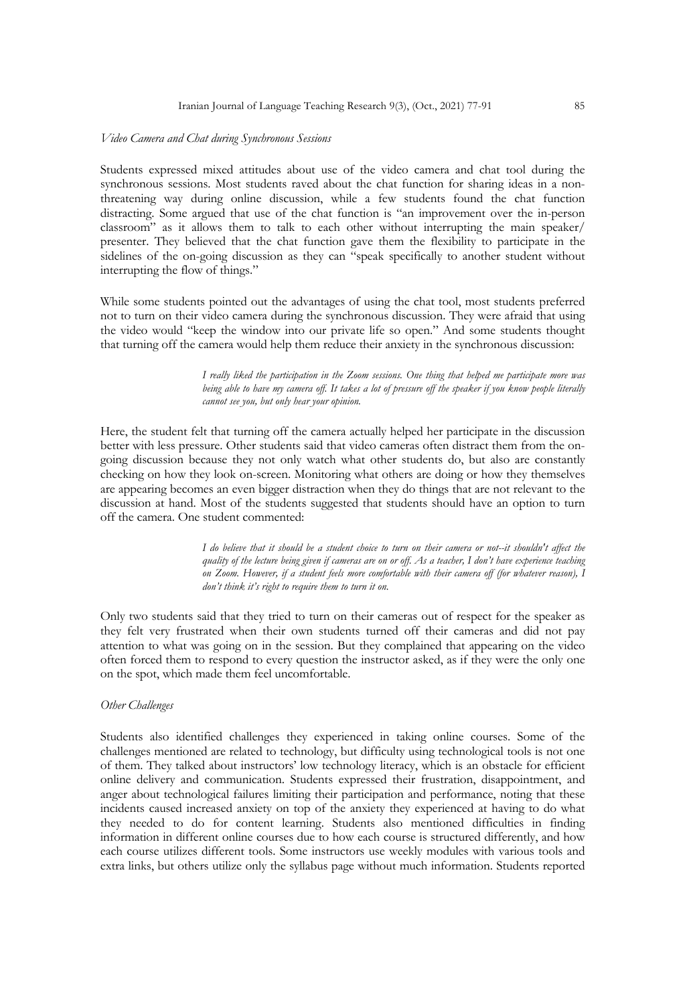#### Iranian Journal of Language Teaching Research 9(3), (Oct., 2021) 77-91 85

#### *Video Camera and Chat during Synchronous Sessions*

Students expressed mixed attitudes about use of the video camera and chat tool during the synchronous sessions. Most students raved about the chat function for sharing ideas in a nonthreatening way during online discussion, while a few students found the chat function distracting. Some argued that use of the chat function is "an improvement over the in-person classroom" as it allows them to talk to each other without interrupting the main speaker/ presenter. They believed that the chat function gave them the flexibility to participate in the sidelines of the on-going discussion as they can "speak specifically to another student without interrupting the flow of things."

While some students pointed out the advantages of using the chat tool, most students preferred not to turn on their video camera during the synchronous discussion. They were afraid that using the video would "keep the window into our private life so open." And some students thought that turning off the camera would help them reduce their anxiety in the synchronous discussion:

> *I really liked the participation in the Zoom sessions. One thing that helped me participate more was*  being able to have my camera off. It takes a lot of pressure off the speaker if you know people literally *cannot see you, but only hear your opinion.*

Here, the student felt that turning off the camera actually helped her participate in the discussion better with less pressure. Other students said that video cameras often distract them from the ongoing discussion because they not only watch what other students do, but also are constantly checking on how they look on-screen. Monitoring what others are doing or how they themselves are appearing becomes an even bigger distraction when they do things that are not relevant to the discussion at hand. Most of the students suggested that students should have an option to turn off the camera. One student commented:

> *I do believe that it should be a student choice to turn on their camera or not--it shouldn't affect the quality of the lecture being given if cameras are on or off. As a teacher, I don't have experience teaching on Zoom. However, if a student feels more comfortable with their camera off (for whatever reason), I don't think it's right to require them to turn it on.*

Only two students said that they tried to turn on their cameras out of respect for the speaker as they felt very frustrated when their own students turned off their cameras and did not pay attention to what was going on in the session. But they complained that appearing on the video often forced them to respond to every question the instructor asked, as if they were the only one on the spot, which made them feel uncomfortable.

# *Other Challenges*

Students also identified challenges they experienced in taking online courses. Some of the challenges mentioned are related to technology, but difficulty using technological tools is not one of them. They talked about instructors' low technology literacy, which is an obstacle for efficient online delivery and communication. Students expressed their frustration, disappointment, and anger about technological failures limiting their participation and performance, noting that these incidents caused increased anxiety on top of the anxiety they experienced at having to do what they needed to do for content learning. Students also mentioned difficulties in finding information in different online courses due to how each course is structured differently, and how each course utilizes different tools. Some instructors use weekly modules with various tools and extra links, but others utilize only the syllabus page without much information. Students reported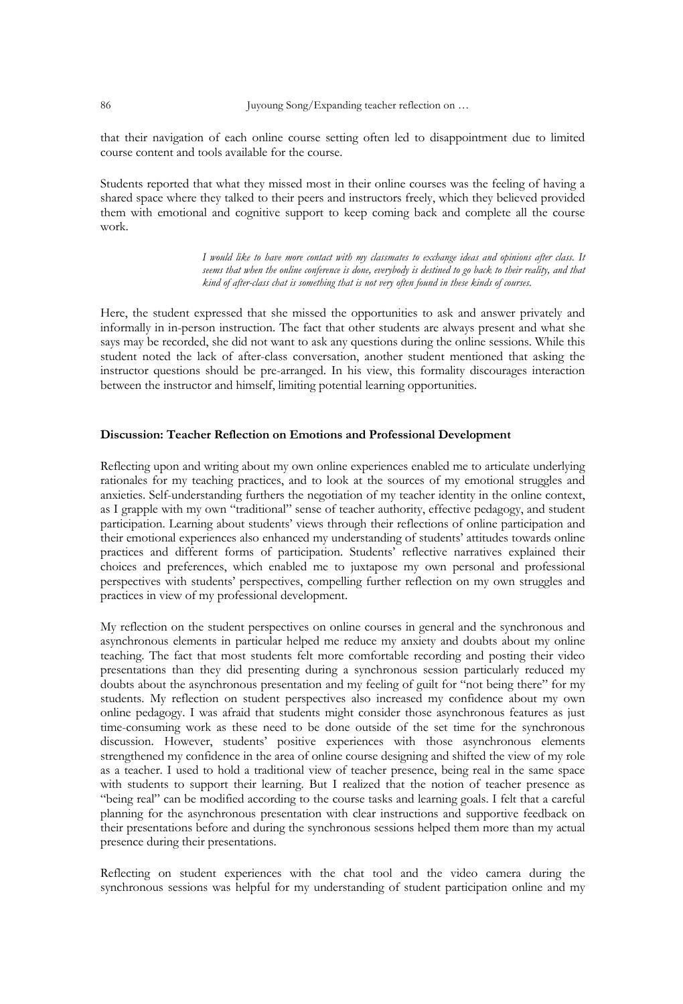that their navigation of each online course setting often led to disappointment due to limited course content and tools available for the course.

Students reported that what they missed most in their online courses was the feeling of having a shared space where they talked to their peers and instructors freely, which they believed provided them with emotional and cognitive support to keep coming back and complete all the course work.

> *I would like to have more contact with my classmates to exchange ideas and opinions after class. It seems that when the online conference is done, everybody is destined to go back to their reality, and that kind of after-class chat is something that is not very often found in these kinds of courses.*

Here, the student expressed that she missed the opportunities to ask and answer privately and informally in in-person instruction. The fact that other students are always present and what she says may be recorded, she did not want to ask any questions during the online sessions. While this student noted the lack of after-class conversation, another student mentioned that asking the instructor questions should be pre-arranged. In his view, this formality discourages interaction between the instructor and himself, limiting potential learning opportunities.

# **Discussion: Teacher Reflection on Emotions and Professional Development**

Reflecting upon and writing about my own online experiences enabled me to articulate underlying rationales for my teaching practices, and to look at the sources of my emotional struggles and anxieties. Self-understanding furthers the negotiation of my teacher identity in the online context, as I grapple with my own "traditional" sense of teacher authority, effective pedagogy, and student participation. Learning about students' views through their reflections of online participation and their emotional experiences also enhanced my understanding of students' attitudes towards online practices and different forms of participation. Students' reflective narratives explained their choices and preferences, which enabled me to juxtapose my own personal and professional perspectives with students' perspectives, compelling further reflection on my own struggles and practices in view of my professional development.

My reflection on the student perspectives on online courses in general and the synchronous and asynchronous elements in particular helped me reduce my anxiety and doubts about my online teaching. The fact that most students felt more comfortable recording and posting their video presentations than they did presenting during a synchronous session particularly reduced my doubts about the asynchronous presentation and my feeling of guilt for "not being there" for my students. My reflection on student perspectives also increased my confidence about my own online pedagogy. I was afraid that students might consider those asynchronous features as just time-consuming work as these need to be done outside of the set time for the synchronous discussion. However, students' positive experiences with those asynchronous elements strengthened my confidence in the area of online course designing and shifted the view of my role as a teacher. I used to hold a traditional view of teacher presence, being real in the same space with students to support their learning. But I realized that the notion of teacher presence as "being real" can be modified according to the course tasks and learning goals. I felt that a careful planning for the asynchronous presentation with clear instructions and supportive feedback on their presentations before and during the synchronous sessions helped them more than my actual presence during their presentations.

Reflecting on student experiences with the chat tool and the video camera during the synchronous sessions was helpful for my understanding of student participation online and my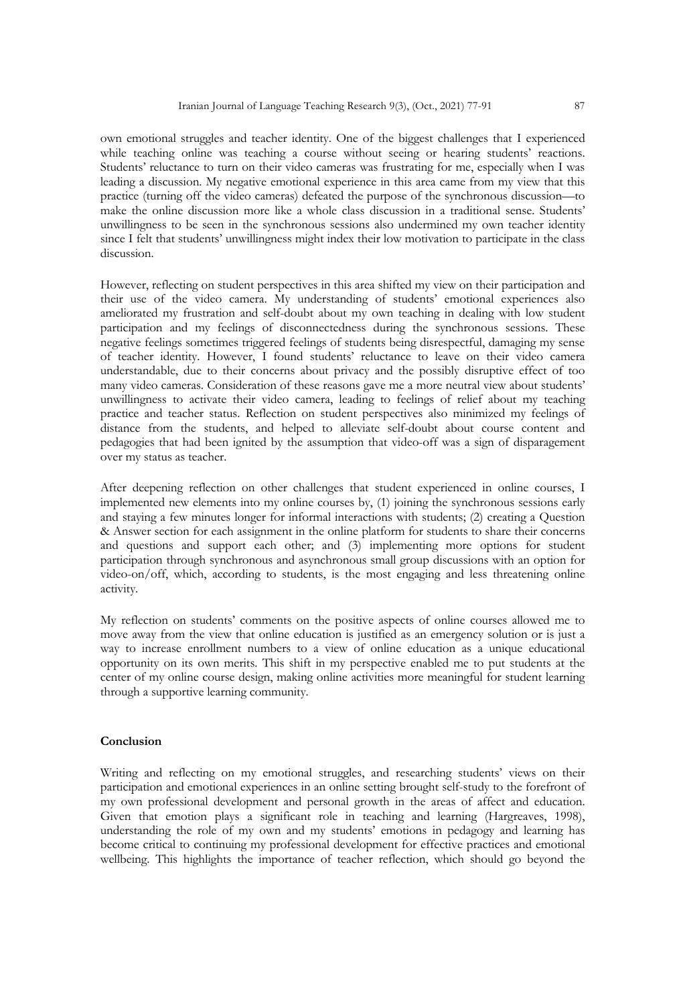own emotional struggles and teacher identity. One of the biggest challenges that I experienced while teaching online was teaching a course without seeing or hearing students' reactions. Students' reluctance to turn on their video cameras was frustrating for me, especially when I was leading a discussion. My negative emotional experience in this area came from my view that this practice (turning off the video cameras) defeated the purpose of the synchronous discussion—to make the online discussion more like a whole class discussion in a traditional sense. Students' unwillingness to be seen in the synchronous sessions also undermined my own teacher identity since I felt that students' unwillingness might index their low motivation to participate in the class discussion.

However, reflecting on student perspectives in this area shifted my view on their participation and their use of the video camera. My understanding of students' emotional experiences also ameliorated my frustration and self-doubt about my own teaching in dealing with low student participation and my feelings of disconnectedness during the synchronous sessions. These negative feelings sometimes triggered feelings of students being disrespectful, damaging my sense of teacher identity. However, I found students' reluctance to leave on their video camera understandable, due to their concerns about privacy and the possibly disruptive effect of too many video cameras. Consideration of these reasons gave me a more neutral view about students' unwillingness to activate their video camera, leading to feelings of relief about my teaching practice and teacher status. Reflection on student perspectives also minimized my feelings of distance from the students, and helped to alleviate self-doubt about course content and pedagogies that had been ignited by the assumption that video-off was a sign of disparagement over my status as teacher.

After deepening reflection on other challenges that student experienced in online courses, I implemented new elements into my online courses by, (1) joining the synchronous sessions early and staying a few minutes longer for informal interactions with students; (2) creating a Question & Answer section for each assignment in the online platform for students to share their concerns and questions and support each other; and (3) implementing more options for student participation through synchronous and asynchronous small group discussions with an option for video-on/off, which, according to students, is the most engaging and less threatening online activity.

My reflection on students' comments on the positive aspects of online courses allowed me to move away from the view that online education is justified as an emergency solution or is just a way to increase enrollment numbers to a view of online education as a unique educational opportunity on its own merits. This shift in my perspective enabled me to put students at the center of my online course design, making online activities more meaningful for student learning through a supportive learning community.

#### **Conclusion**

Writing and reflecting on my emotional struggles, and researching students' views on their participation and emotional experiences in an online setting brought self-study to the forefront of my own professional development and personal growth in the areas of affect and education. Given that emotion plays a significant role in teaching and learning (Hargreaves, 1998), understanding the role of my own and my students' emotions in pedagogy and learning has become critical to continuing my professional development for effective practices and emotional wellbeing. This highlights the importance of teacher reflection, which should go beyond the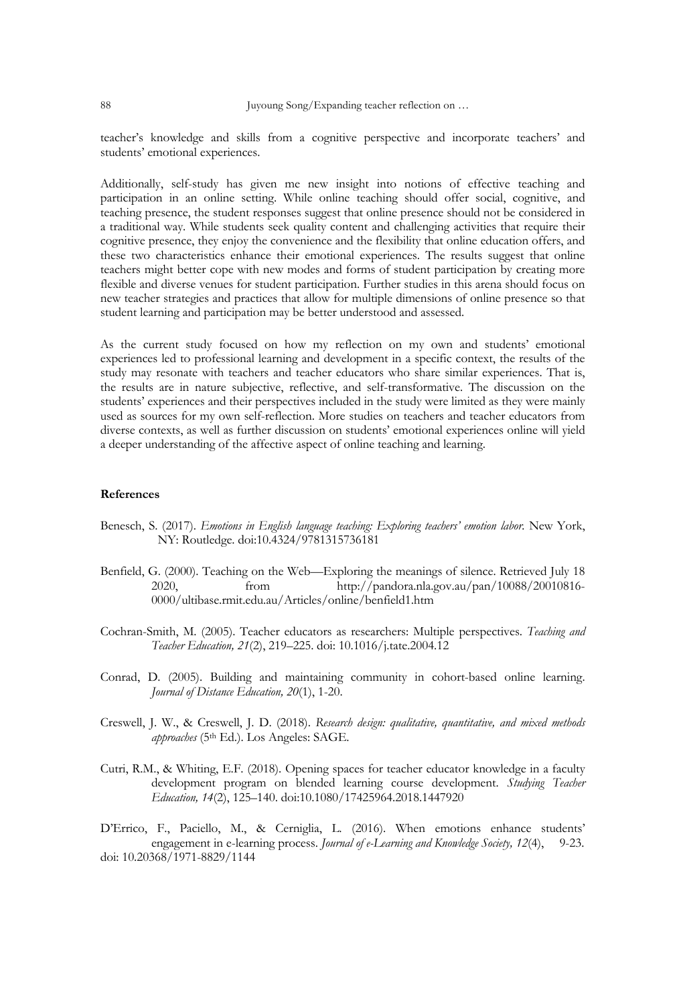teacher's knowledge and skills from a cognitive perspective and incorporate teachers' and students' emotional experiences.

Additionally, self-study has given me new insight into notions of effective teaching and participation in an online setting. While online teaching should offer social, cognitive, and teaching presence, the student responses suggest that online presence should not be considered in a traditional way. While students seek quality content and challenging activities that require their cognitive presence, they enjoy the convenience and the flexibility that online education offers, and these two characteristics enhance their emotional experiences. The results suggest that online teachers might better cope with new modes and forms of student participation by creating more flexible and diverse venues for student participation. Further studies in this arena should focus on new teacher strategies and practices that allow for multiple dimensions of online presence so that student learning and participation may be better understood and assessed.

As the current study focused on how my reflection on my own and students' emotional experiences led to professional learning and development in a specific context, the results of the study may resonate with teachers and teacher educators who share similar experiences. That is, the results are in nature subjective, reflective, and self-transformative. The discussion on the students' experiences and their perspectives included in the study were limited as they were mainly used as sources for my own self-reflection. More studies on teachers and teacher educators from diverse contexts, as well as further discussion on students' emotional experiences online will yield a deeper understanding of the affective aspect of online teaching and learning.

# **References**

- Benesch, S. (2017). *Emotions in English language teaching: Exploring teachers' emotion labor*. New York, NY: Routledge. doi:10.4324/9781315736181
- Benfield, G. (2000). Teaching on the Web—Exploring the meanings of silence. Retrieved July 18 2020, from http://pandora.nla.gov.au/pan/10088/20010816- 0000/ultibase.rmit.edu.au/Articles/online/benfield1.htm
- Cochran-Smith, M. (2005). Teacher educators as researchers: Multiple perspectives. *Teaching and Teacher Education, 21*(2), 219–225. doi: 10.1016/j.tate.2004.12
- Conrad, D. (2005). Building and maintaining community in cohort-based online learning. *Journal of Distance Education, 20*(1), 1-20.
- Creswell, J. W., & Creswell, J. D. (2018). *Research design: qualitative, quantitative, and mixed methods approaches* (5th Ed.). Los Angeles: SAGE.
- Cutri, R.M., & Whiting, E.F. (2018). Opening spaces for teacher educator knowledge in a faculty development program on blended learning course development. *Studying Teacher Education, 14*(2), 125–140. doi:10.1080/17425964.2018.1447920

D'Errico, F., Paciello, M., & Cerniglia, L. (2016). When emotions enhance students' engagement in e-learning process. *Journal of e-Learning and Knowledge Society, 12*(4), 9-23. doi: 10.20368/1971-8829/1144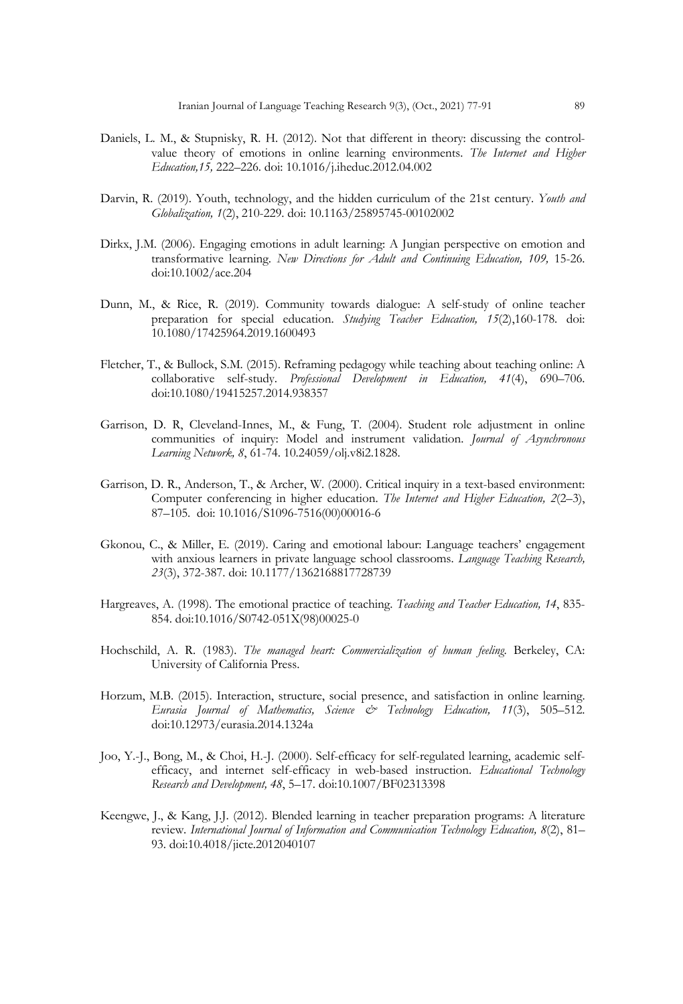- Daniels, L. M., & Stupnisky, R. H. (2012). Not that different in theory: discussing the controlvalue theory of emotions in online learning environments. *The Internet and Higher Education,15,* 222–226. doi: 10.1016/j.iheduc.2012.04.002
- Darvin, R. (2019). Youth, technology, and the hidden curriculum of the 21st century. *Youth and Globalization, 1*(2), 210-229. doi: 10.1163/25895745-00102002
- Dirkx, J.M. (2006). Engaging emotions in adult learning: A Jungian perspective on emotion and transformative learning. *New Directions for Adult and Continuing Education, 109,* 15-26. doi:10.1002/ace.204
- Dunn, M., & Rice, R. (2019). Community towards dialogue: A self-study of online teacher preparation for special education. *Studying Teacher Education, 15*(2),160-178. doi: 10.1080/17425964.2019.1600493
- Fletcher, T., & Bullock, S.M. (2015). Reframing pedagogy while teaching about teaching online: A collaborative self-study. *Professional Development in Education, 41*(4), 690–706. doi:10.1080/19415257.2014.938357
- Garrison, D. R, Cleveland-Innes, M., & Fung, T. (2004). Student role adjustment in online communities of inquiry: Model and instrument validation. *Journal of Asynchronous Learning Network, 8*, 61-74. 10.24059/olj.v8i2.1828.
- Garrison, D. R., Anderson, T., & Archer, W. (2000). Critical inquiry in a text-based environment: Computer conferencing in higher education. *The Internet and Higher Education, 2*(2–3), 87–105. doi: 10.1016/S1096-7516(00)00016-6
- Gkonou, C., & Miller, E. (2019). Caring and emotional labour: Language teachers' engagement with anxious learners in private language school classrooms. *Language Teaching Research, 23*(3), 372-387. doi: 10.1177/1362168817728739
- Hargreaves, A. (1998). The emotional practice of teaching. *Teaching and Teacher Education, 14*, 835- 854. doi:10.1016/S0742-051X(98)00025-0
- Hochschild, A. R. (1983). *The managed heart: Commercialization of human feeling*. Berkeley, CA: University of California Press.
- Horzum, M.B. (2015). Interaction, structure, social presence, and satisfaction in online learning. *Eurasia Journal of Mathematics, Science & Technology Education, 11*(3), 505–512. doi:10.12973/eurasia.2014.1324a
- Joo, Y.-J., Bong, M., & Choi, H.-J. (2000). Self-efficacy for self-regulated learning, academic selfefficacy, and internet self-efficacy in web-based instruction. *Educational Technology Research and Development, 48*, 5–17. doi:10.1007/BF02313398
- Keengwe, J., & Kang, J.J. (2012). Blended learning in teacher preparation programs: A literature review. *International Journal of Information and Communication Technology Education, 8*(2), 81– 93. doi:10.4018/jicte.2012040107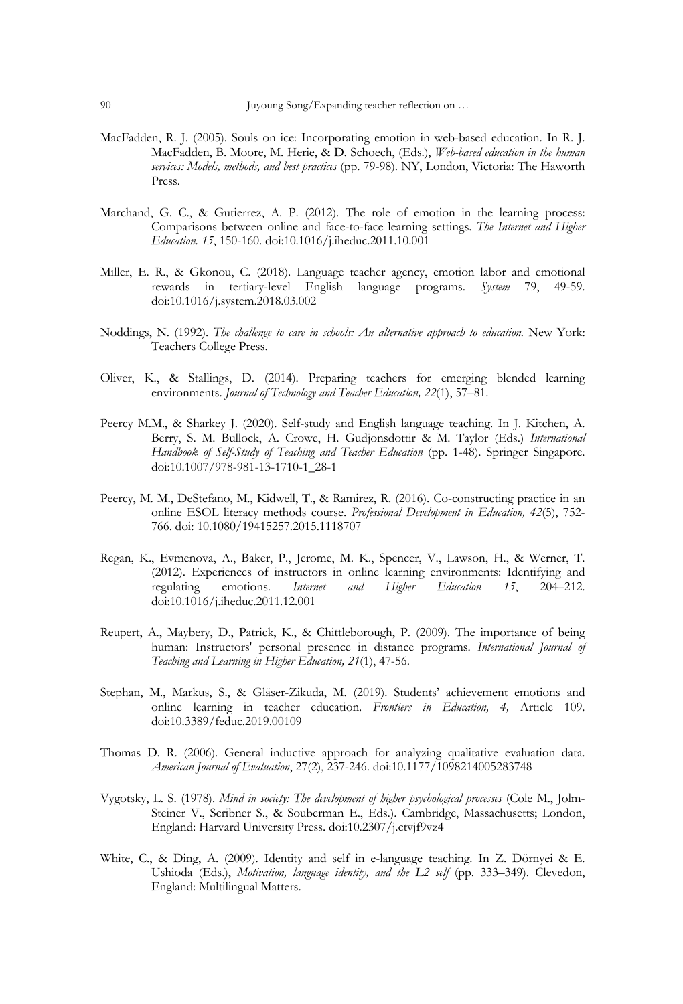- MacFadden, R. J. (2005). Souls on ice: Incorporating emotion in web-based education. In R. J. MacFadden, B. Moore, M. Herie, & D. Schoech, (Eds.), *Web-based education in the human services: Models, methods, and best practices* (pp. 79-98). NY, London, Victoria: The Haworth Press.
- Marchand, G. C., & Gutierrez, A. P. (2012). The role of emotion in the learning process: Comparisons between online and face-to-face learning settings. *The Internet and Higher Education. 15*, 150-160. doi:10.1016/j.iheduc.2011.10.001
- Miller, E. R., & Gkonou, C. (2018). Language teacher agency, emotion labor and emotional rewards in tertiary-level English language programs. *System* 79, 49-59. doi:10.1016/j.system.2018.03.002
- Noddings, N. (1992). *The challenge to care in schools: An alternative approach to education.* New York: Teachers College Press.
- Oliver, K., & Stallings, D. (2014). Preparing teachers for emerging blended learning environments. *Journal of Technology and Teacher Education, 22*(1), 57–81.
- Peercy M.M., & Sharkey J. (2020). Self-study and English language teaching. In J. Kitchen, A. Berry, S. M. Bullock, A. Crowe, H. Gudjonsdottir & M. Taylor (Eds.) *International Handbook of Self-Study of Teaching and Teacher Education* (pp. 1-48). Springer Singapore. doi:10.1007/978-981-13-1710-1\_28-1
- Peercy, M. M., DeStefano, M., Kidwell, T., & Ramirez, R. (2016). Co-constructing practice in an online ESOL literacy methods course. *Professional Development in Education, 42*(5), 752- 766. doi: 10.1080/19415257.2015.1118707
- Regan, K., Evmenova, A., Baker, P., Jerome, M. K., Spencer, V., Lawson, H., & Werner, T. (2012). Experiences of instructors in online learning environments: Identifying and regulating emotions. *Internet and Higher Education 15*, 204–212. regulating emotions. *Internet and Higher Education 15*, 204–212. doi:10.1016/j.iheduc.2011.12.001
- Reupert, A., Maybery, D., Patrick, K., & Chittleborough, P. (2009). The importance of being human: Instructors' personal presence in distance programs. *International Journal of Teaching and Learning in Higher Education, 21*(1), 47-56.
- Stephan, M., Markus, S., & Gläser-Zikuda, M. (2019). Students' achievement emotions and online learning in teacher education. *Frontiers in Education, 4,* Article 109. doi:10.3389/feduc.2019.00109
- Thomas D. R. (2006). General inductive approach for analyzing qualitative evaluation data. *American Journal of Evaluation*, 27(2), 237-246. doi:10.1177/1098214005283748
- Vygotsky, L. S. (1978). *Mind in society: The development of higher psychological processes* (Cole M., Jolm-Steiner V., Scribner S., & Souberman E., Eds.). Cambridge, Massachusetts; London, England: Harvard University Press. doi:10.2307/j.ctvjf9vz4
- White, C., & Ding, A. (2009). Identity and self in e-language teaching. In Z. Dörnyei & E. Ushioda (Eds.), *Motivation, language identity, and the L2 self* (pp. 333–349). Clevedon, England: Multilingual Matters.